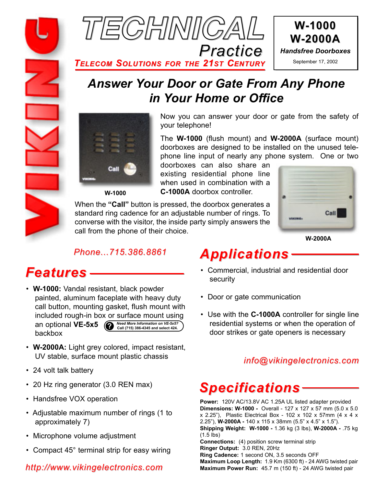



*TELECOM SOLUTIONS FOR THE 21ST CENTURY*

# *Answer Your Door or Gate From Any Phone in Your Home or Office*



Now you can answer your door or gate from the safety of your telephone!

The **W-1000** (flush mount) and **W-2000A** (surface mount) doorboxes are designed to be installed on the unused telephone line input of nearly any phone system. One or two

doorboxes can also share an existing residential phone line when used in combination with a **C-1000A** doorbox controller.

When the **"Call"** button is pressed, the doorbox generates a standard ring cadence for an adjustable number of rings. To converse with the visitor, the inside party simply answers the call from the phone of their choice.



**W-2000A**

### *Phone...715.386.8861*

- **W-1000:** Vandal resistant, black powder painted, aluminum faceplate with heavy duty call button, mounting gasket, flush mount with included rough-in box or surface mount using an optional **VE-5x5 ?** *Need More Information on VE-5x5?* **Call (715) 386-4345 and select 424.**backbox
- **W-2000A:** Light grey colored, impact resistant, UV stable, surface mount plastic chassis
- 24 volt talk battery
- 20 Hz ring generator (3.0 REN max)
- Handsfree VOX operation
- Adjustable maximum number of rings (1 to approximately 7)
- Microphone volume adjustment
- Compact 45° terminal strip for easy wiring

### *http://www.vikingelectronics.com*

# *Applications*

- Features ––––––––––––––––<sup>•</sup> Commercial, industrial and residential door security
	- Door or gate communication
	- Use with the **C-1000A** controller for single line residential systems or when the operation of door strikes or gate openers is necessary

### *info@vikingelectronics.com*

# *Specifications*

**Power:** 120V AC/13.8V AC 1.25A UL listed adapter provided **Dimensions: W-1000 -** Overall - 127 x 127 x 57 mm (5.0 x 5.0  $x$  2.25"), Plastic Electrical Box - 102 x 102 x 57mm (4 x 4 x 2.25"), **W-2000A -** 140 x 115 x 38mm (5.5" x 4.5" x 1.5"). **Shipping Weight: W-1000 -** 1.36 kg (3 lbs), **W-2000A -** .75 kg (1.5 lbs) **Connections:** (4) position screw terminal strip **Ringer Output:** 3.0 REN, 20Hz **Ring Cadence:** 1 second ON, 3.5 seconds OFF **Maximum Loop Length:** 1.9 Km (6300 ft) - 24 AWG twisted pair **Maximum Power Run:** 45.7 m (150 ft) - 24 AWG twisted pair